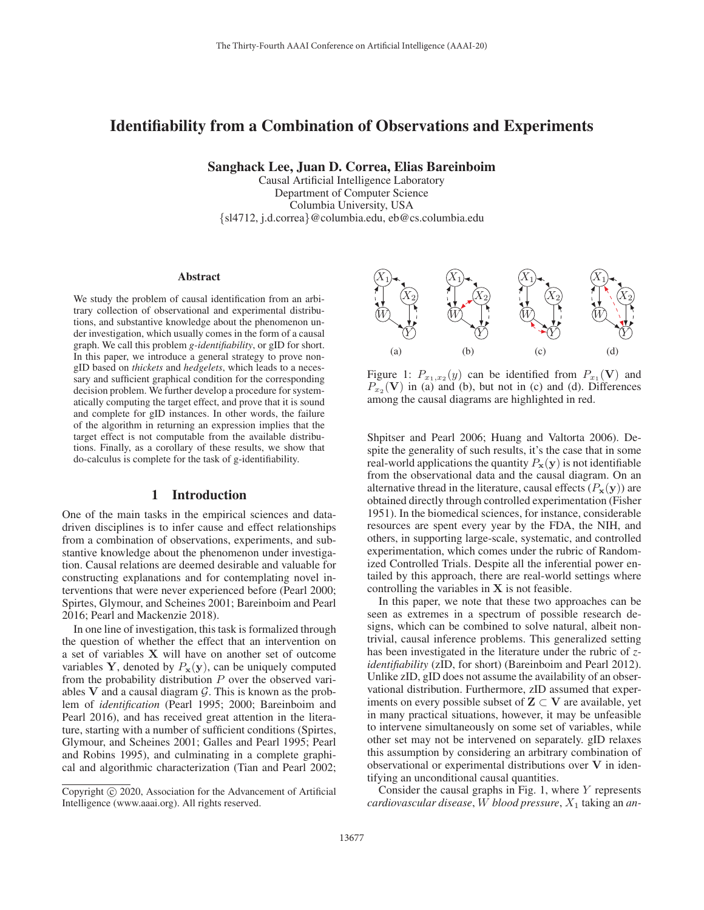# Identifiability from a Combination of Observations and Experiments

Sanghack Lee, Juan D. Correa, Elias Bareinboim

Causal Artificial Intelligence Laboratory Department of Computer Science Columbia University, USA {sl4712, j.d.correa}@columbia.edu, eb@cs.columbia.edu

#### Abstract

We study the problem of causal identification from an arbitrary collection of observational and experimental distributions, and substantive knowledge about the phenomenon under investigation, which usually comes in the form of a causal graph. We call this problem *g-identifiability*, or gID for short. In this paper, we introduce a general strategy to prove nongID based on *thickets* and *hedgelets*, which leads to a necessary and sufficient graphical condition for the corresponding decision problem. We further develop a procedure for systematically computing the target effect, and prove that it is sound and complete for gID instances. In other words, the failure of the algorithm in returning an expression implies that the target effect is not computable from the available distributions. Finally, as a corollary of these results, we show that do-calculus is complete for the task of g-identifiability.

## 1 Introduction

One of the main tasks in the empirical sciences and datadriven disciplines is to infer cause and effect relationships from a combination of observations, experiments, and substantive knowledge about the phenomenon under investigation. Causal relations are deemed desirable and valuable for constructing explanations and for contemplating novel interventions that were never experienced before (Pearl 2000; Spirtes, Glymour, and Scheines 2001; Bareinboim and Pearl 2016; Pearl and Mackenzie 2018).

In one line of investigation, this task is formalized through the question of whether the effect that an intervention on a set of variables **X** will have on another set of outcome variables **Y**, denoted by  $P_x(y)$ , can be uniquely computed from the probability distribution  $P$  over the observed variables  $V$  and a causal diagram  $G$ . This is known as the problem of *identification* (Pearl 1995; 2000; Bareinboim and Pearl 2016), and has received great attention in the literature, starting with a number of sufficient conditions (Spirtes, Glymour, and Scheines 2001; Galles and Pearl 1995; Pearl and Robins 1995), and culminating in a complete graphical and algorithmic characterization (Tian and Pearl 2002;





Figure 1:  $P_{x_1,x_2}(y)$  can be identified from  $P_{x_1}(\mathbf{V})$  and  $P_{x_2}$ (V) in (a) and (b), but not in (c) and (d). Differences among the causal diagrams are highlighted in red.

Shpitser and Pearl 2006; Huang and Valtorta 2006). Despite the generality of such results, it's the case that in some real-world applications the quantity  $P_{\mathbf{x}}(\mathbf{y})$  is not identifiable from the observational data and the causal diagram. On an alternative thread in the literature, causal effects  $(P_x(y))$  are obtained directly through controlled experimentation (Fisher 1951). In the biomedical sciences, for instance, considerable resources are spent every year by the FDA, the NIH, and others, in supporting large-scale, systematic, and controlled experimentation, which comes under the rubric of Randomized Controlled Trials. Despite all the inferential power entailed by this approach, there are real-world settings where controlling the variables in **X** is not feasible.

In this paper, we note that these two approaches can be seen as extremes in a spectrum of possible research designs, which can be combined to solve natural, albeit nontrivial, causal inference problems. This generalized setting has been investigated in the literature under the rubric of *zidentifiability* (zID, for short) (Bareinboim and Pearl 2012). Unlike zID, gID does not assume the availability of an observational distribution. Furthermore, zID assumed that experiments on every possible subset of  $Z \subset V$  are available, yet in many practical situations, however, it may be unfeasible to intervene simultaneously on some set of variables, while other set may not be intervened on separately. gID relaxes this assumption by considering an arbitrary combination of observational or experimental distributions over **V** in identifying an unconditional causal quantities.

Consider the causal graphs in Fig. 1, where  $Y$  represents *cardiovascular disease*, W *blood pressure*, X<sup>1</sup> taking an *an-*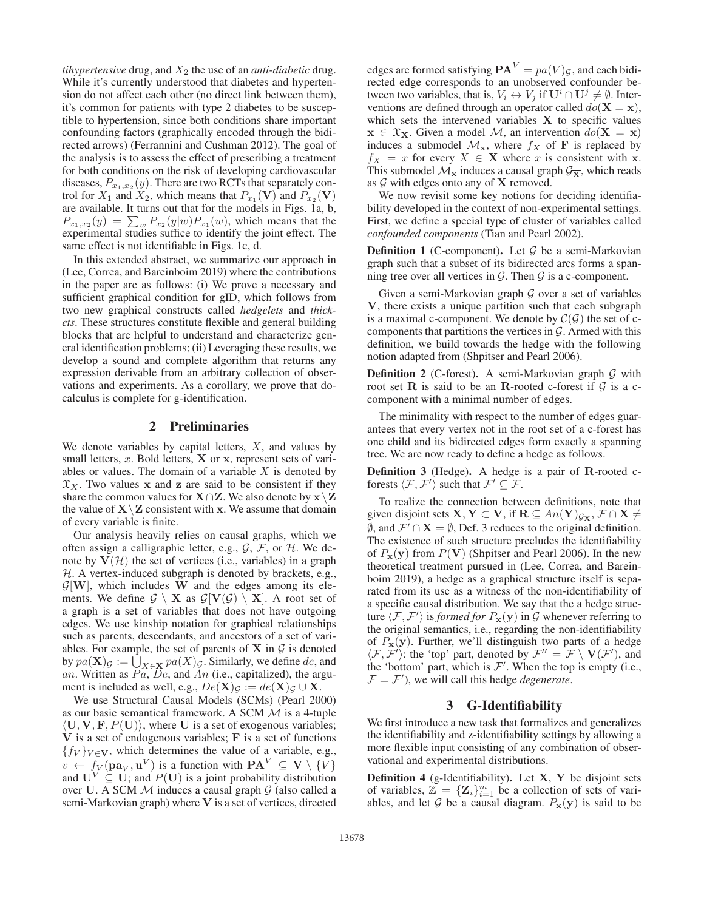*tihypertensive* drug, and  $X_2$  the use of an *anti-diabetic* drug. While it's currently understood that diabetes and hypertension do not affect each other (no direct link between them), it's common for patients with type 2 diabetes to be susceptible to hypertension, since both conditions share important confounding factors (graphically encoded through the bidirected arrows) (Ferrannini and Cushman 2012). The goal of the analysis is to assess the effect of prescribing a treatment for both conditions on the risk of developing cardiovascular diseases,  $P_{x_1,x_2}(y)$ . There are two RCTs that separately control for  $X_1$  and  $X_2$ , which means that  $P_{x_1}(\mathbf{V})$  and  $P_{x_2}(\mathbf{V})$ are available. It turns out that for the models in Figs. 1a, b,  $P_{x_1,x_2}(y) = \sum_w P_{x_2}(y|w)P_{x_1}(w)$ , which means that the experimental studies suffice to identify the joint effect. The same effect is not identifiable in Figs. 1c, d.

In this extended abstract, we summarize our approach in (Lee, Correa, and Bareinboim 2019) where the contributions in the paper are as follows: (i) We prove a necessary and sufficient graphical condition for gID, which follows from two new graphical constructs called *hedgelets* and *thickets*. These structures constitute flexible and general building blocks that are helpful to understand and characterize general identification problems; (ii) Leveraging these results, we develop a sound and complete algorithm that returns any expression derivable from an arbitrary collection of observations and experiments. As a corollary, we prove that docalculus is complete for g-identification.

#### 2 Preliminaries

We denote variables by capital letters,  $X$ , and values by small letters, x. Bold letters, **X** or **x**, represent sets of variables or values. The domain of a variable  $X$  is denoted by  $\mathfrak{X}_X$ . Two values **x** and **z** are said to be consistent if they share the common values for  $X \cap Z$ . We also denote by  $x \setminus Z$ the value of  $X \setminus Z$  consistent with **x**. We assume that domain of every variable is finite.

Our analysis heavily relies on causal graphs, which we often assign a calligraphic letter, e.g.,  $\mathcal{G}, \mathcal{F}$ , or  $\mathcal{H}$ . We denote by  $V(\mathcal{H})$  the set of vertices (i.e., variables) in a graph  $H.$  A vertex-induced subgraph is denoted by brackets, e.g.,  $\mathcal{G}[\mathbf{W}]$ , which includes **W** and the edges among its elements. We define  $G \setminus X$  as  $G[V(G) \setminus X]$ . A root set of a graph is a set of variables that does not have outgoing edges. We use kinship notation for graphical relationships such as parents, descendants, and ancestors of a set of variables. For example, the set of parents of  $X$  in  $G$  is denoted by  $pa(\mathbf{X})_G := \bigcup_{X \in \mathbf{X}} pa(X)_{G}$ . Similarly, we define de, and an. Written as  $Pa$ ,  $De$ , and  $An$  (i.e., capitalized), the argument is included as well, e.g.,  $De(X)_{\mathcal{G}} := de(X)_{\mathcal{G}} \cup X$ .

We use Structural Causal Models (SCMs) (Pearl 2000) as our basic semantical framework. A SCM M is a 4-tuple  $\langle U, V, F, P(U) \rangle$ , where U is a set of exogenous variables; **V** is a set of endogenous variables; **F** is a set of functions  ${f_V}_{V \in \mathbf{V}}$ , which determines the value of a variable, e.g.,  $v \leftarrow f_V(\mathbf{pa}_V, \mathbf{u}^V)$  is a function with  $\mathbf{PA}^V \subseteq \mathbf{V} \setminus \{V\}$ and  $\mathbf{U}^V \subseteq \mathbf{U}$ ; and  $P(\mathbf{U})$  is a joint probability distribution over U. A SCM  $M$  induces a causal graph  $G$  (also called a semi-Markovian graph) where **V** is a set of vertices, directed

edges are formed satisfying  $\mathbf{PA}^V = pa(V)g$ , and each bidirected edge corresponds to an unobserved confounder between two variables, that is,  $V_i \leftrightarrow V_j$  if  $\mathbf{U}^i \cap \mathbf{U}^j \neq \emptyset$ . Interventions are defined through an operator called  $do(X = x)$ , which sets the intervened variables  $X$  to specific values  $x \in \mathfrak{X}_X$ . Given a model M, an intervention  $do(X = x)$ induces a submodel  $\mathcal{M}_x$ , where  $f_X$  of **F** is replaced by  $f_X = x$  for every  $X \in \mathbf{X}$  where x is consistent with **x**. This submodel  $\mathcal{M}_{\mathbf{x}}$  induces a causal graph  $\mathcal{G}_{\overline{\mathbf{x}}}$ , which reads as G with edges onto any of **X** removed.

We now revisit some key notions for deciding identifiability developed in the context of non-experimental settings. First, we define a special type of cluster of variables called *confounded components* (Tian and Pearl 2002).

**Definition 1** (C-component). Let  $G$  be a semi-Markovian graph such that a subset of its bidirected arcs forms a spanning tree over all vertices in  $G$ . Then  $G$  is a c-component.

Given a semi-Markovian graph  $G$  over a set of variables **V**, there exists a unique partition such that each subgraph is a maximal c-component. We denote by  $\mathcal{C}(\mathcal{G})$  the set of ccomponents that partitions the vertices in  $\mathcal G$ . Armed with this definition, we build towards the hedge with the following notion adapted from (Shpitser and Pearl 2006).

**Definition 2** (C-forest). A semi-Markovian graph  $G$  with root set **R** is said to be an **R**-rooted c-forest if  $G$  is a ccomponent with a minimal number of edges.

The minimality with respect to the number of edges guarantees that every vertex not in the root set of a c-forest has one child and its bidirected edges form exactly a spanning tree. We are now ready to define a hedge as follows.

Definition 3 (Hedge). A hedge is a pair of **R**-rooted cforests  $\langle \mathcal{F}, \mathcal{F}' \rangle$  such that  $\mathcal{F}' \subseteq \mathcal{F}$ .

To realize the connection between definitions, note that given disjoint sets  $\mathbf{X}, \mathbf{Y} \subset \mathbf{V}$ , if  $\mathbf{R} \subseteq An(\mathbf{Y})_{\mathcal{G}_{\mathbf{X}}}, \mathcal{F} \cap \mathbf{X} \neq \emptyset$  $\emptyset$ , and  $\mathcal{F}' \cap \mathbf{X} = \emptyset$ , Def. 3 reduces to the original definition. The existence of such structure precludes the identifiability of  $P_x(y)$  from  $P(V)$  (Shpitser and Pearl 2006). In the new theoretical treatment pursued in (Lee, Correa, and Bareinboim 2019), a hedge as a graphical structure itself is separated from its use as a witness of the non-identifiability of a specific causal distribution. We say that the a hedge structure  $\langle \mathcal{F}, \mathcal{F}' \rangle$  is *formed for*  $P_{\mathbf{x}}(\mathbf{y})$  in  $\mathcal G$  whenever referring to the original semantics, i.e., regarding the non-identifiability of  $P_x(y)$ . Further, we'll distinguish two parts of a hedge  $\langle \mathcal{F}, \mathcal{F}' \rangle$ : the 'top' part, denoted by  $\mathcal{F}'' = \mathcal{F} \setminus \mathbf{V}(\mathcal{F}')$ , and the 'bottom' part, which is  $\mathcal{F}'$ . When the top is empty (i.e.,  $\mathcal{F} = \mathcal{F}'$ , we will call this hedge *degenerate*.

### 3 G-Identifiability

We first introduce a new task that formalizes and generalizes the identifiability and z-identifiability settings by allowing a more flexible input consisting of any combination of observational and experimental distributions.

Definition 4 (g-Identifiability). Let **X**, **Y** be disjoint sets of variables,  $\mathbb{Z} = {\mathbf{Z}_i}_{i=1}^m$  be a collection of sets of variables, and let G be a causal diagram.  $P_x(y)$  is said to be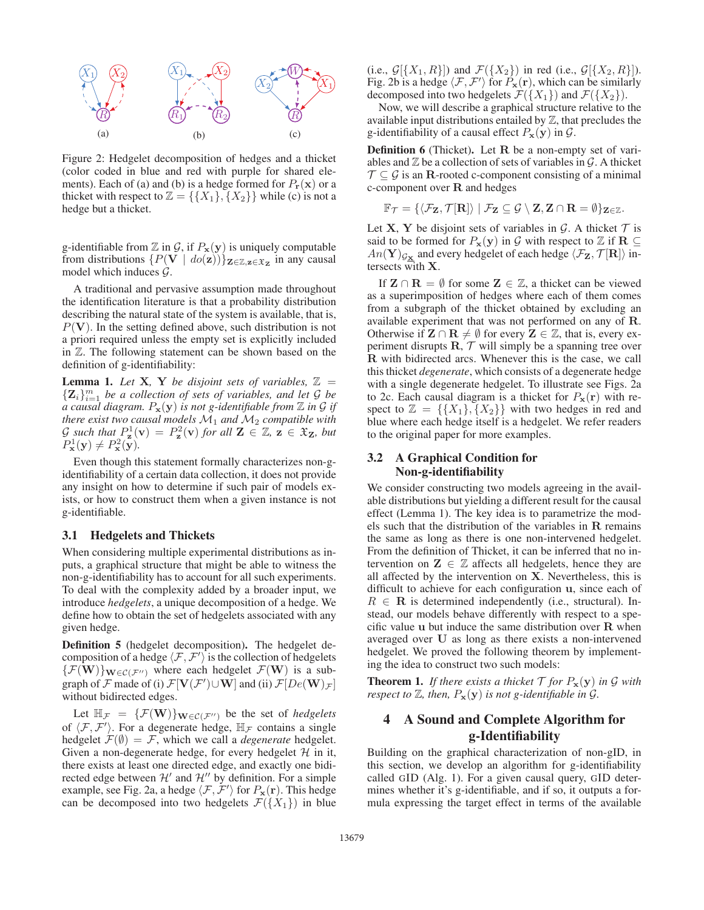

Figure 2: Hedgelet decomposition of hedges and a thicket (color coded in blue and red with purple for shared elements). Each of (a) and (b) is a hedge formed for  $P_{\bf r}({\bf x})$  or a thicket with respect to  $\mathbb{Z} = \{\{X_1\}, \{X_2\}\}\$  while (c) is not a hedge but a thicket.

g-identifiable from  $\mathbb{Z}$  in  $\mathcal{G}$ , if  $P_{\mathbf{x}}(\mathbf{y})$  is uniquely computable from distributions  $\{P(V \mid do(z))\}_{\mathbf{Z}\in\mathbb{Z},\mathbf{z}\in\mathfrak{X}_{\mathbf{Z}}}$  in any causal model which induces  $\mathcal{G}$ .

A traditional and pervasive assumption made throughout the identification literature is that a probability distribution describing the natural state of the system is available, that is,  $P(V)$ . In the setting defined above, such distribution is not a priori required unless the empty set is explicitly included in Z. The following statement can be shown based on the definition of g-identifiability:

**Lemma 1.** Let **X***,* **Y** *be disjoint sets of variables,*  $\mathbb{Z}$  =  ${\bf Z}_i\}_{i=1}^m$  *be a collection of sets of variables, and let G be a causal diagram.*  $P_x(y)$  *is not g-identifiable from*  $\mathbb Z$  *in*  $\mathcal G$  *if there exist two causal models*  $M_1$  *and*  $M_2$  *compatible with*  $\mathcal{G}$  such that  $P^1_{\mathbf{z}}(\mathbf{v}) = P^2_{\mathbf{z}}(\mathbf{v})$  for all  $\mathbf{Z} \in \mathbb{Z}$ ,  $\mathbf{z} \in \mathfrak{X}_{\mathbf{Z}}$ , but  $P^1_{\mathbf{x}}(\mathbf{y}) \neq P^2_{\mathbf{x}}(\mathbf{y})$ .

Even though this statement formally characterizes non-gidentifiability of a certain data collection, it does not provide any insight on how to determine if such pair of models exists, or how to construct them when a given instance is not g-identifiable.

#### 3.1 Hedgelets and Thickets

When considering multiple experimental distributions as inputs, a graphical structure that might be able to witness the non-g-identifiability has to account for all such experiments. To deal with the complexity added by a broader input, we introduce *hedgelets*, a unique decomposition of a hedge. We define how to obtain the set of hedgelets associated with any given hedge.

Definition 5 (hedgelet decomposition). The hedgelet decomposition of a hedge  $\langle F, F' \rangle$  is the collection of hedgelets  $\{\mathcal{F}(\mathbf{W})\}_{\mathbf{W}\in\mathcal{C}(\mathcal{F}^{\prime\prime})}$  where each hedgelet  $\mathcal{F}(\mathbf{W})$  is a subgraph of  $\mathcal F$  made of (i)  $\mathcal F[\mathbf V(\mathcal F')\cup\mathbf W]$  and (ii)  $\mathcal F[De(\mathbf W)\mathcal F]$ without bidirected edges.

Let  $\mathbb{H}_{\mathcal{F}} = {\{\mathcal{F}(\mathbf{W})\}_{\mathbf{W} \in \mathcal{C}(\mathcal{F}'')}$  be the set of *hedgelets* of  $\langle F, F' \rangle$ . For a degenerate hedge,  $\mathbb{H}_{\mathcal{F}}$  contains a single hedgelet  $\mathcal{F}(\emptyset) = \mathcal{F}$ , which we call a *degenerate* hedgelet. Given a non-degenerate hedge, for every hedgelet  $H$  in it, there exists at least one directed edge, and exactly one bidirected edge between  $\mathcal{H}'$  and  $\mathcal{H}''$  by definition. For a simple example, see Fig. 2a, a hedge  $\langle \mathcal{F}, \mathcal{F}' \rangle$  for  $P_{\mathbf{x}}(\mathbf{r})$ . This hedge can be decomposed into two hedgelets  $\mathcal{F}(\{X_1\})$  in blue (i.e.,  $\mathcal{G}[\{X_1, R\}]$ ) and  $\mathcal{F}(\{X_2\})$  in red (i.e.,  $\mathcal{G}[\{X_2, R\}]$ ). Fig. 2b is a hedge  $\langle \mathcal{F}, \mathcal{F}' \rangle$  for  $P_{\mathbf{x}}(\mathbf{r})$ , which can be similarly decomposed into two hedgelets  $\mathcal{F}(\lbrace X_1 \rbrace)$  and  $\mathcal{F}(\lbrace X_2 \rbrace)$ .

Now, we will describe a graphical structure relative to the available input distributions entailed by  $\mathbb{Z}$ , that precludes the g-identifiability of a causal effect  $P_x(y)$  in  $\mathcal{G}$ .

Definition 6 (Thicket). Let **R** be a non-empty set of variables and  $\mathbb Z$  be a collection of sets of variables in  $\mathcal G$ . A thicket  $\mathcal{T} \subseteq \mathcal{G}$  is an **R**-rooted c-component consisting of a minimal c-component over **R** and hedges

$$
\mathbb{F}_{\mathcal{T}}=\{\langle \mathcal{F}_{\mathbf{Z}},\mathcal{T}[\mathbf{R}]\rangle \mid \mathcal{F}_{\mathbf{Z}}\subseteq \mathcal{G}\setminus \mathbf{Z},\mathbf{Z}\cap \mathbf{R}=\emptyset\}_{\mathbf{Z}\in \mathbb{Z}}.
$$

Let **X**, **Y** be disjoint sets of variables in  $\mathcal{G}$ . A thicket  $\mathcal{T}$  is said to be formed for  $P_{\mathbf{x}}(\mathbf{y})$  in  $\mathcal G$  with respect to  $\mathbb Z$  if  $\mathbf R \subseteq$  $An(Y)_{\mathcal{G}_{\mathbf{X}}}$  and every hedgelet of each hedge  $\langle \mathcal{F}_{\mathbf{Z}}, \mathcal{T}[\mathbf{R}]\rangle$  intersects with **X**.

If  $\mathbf{Z} \cap \mathbf{R} = \emptyset$  for some  $\mathbf{Z} \in \mathbb{Z}$ , a thicket can be viewed as a superimposition of hedges where each of them comes from a subgraph of the thicket obtained by excluding an available experiment that was not performed on any of **R**. Otherwise if  $\mathbf{Z} \cap \mathbf{R} \neq \emptyset$  for every  $\mathbf{Z} \in \mathbb{Z}$ , that is, every experiment disrupts  $\mathbf{R}, \mathcal{T}$  will simply be a spanning tree over **R** with bidirected arcs. Whenever this is the case, we call this thicket *degenerate*, which consists of a degenerate hedge with a single degenerate hedgelet. To illustrate see Figs. 2a to 2c. Each causal diagram is a thicket for  $P_x(\mathbf{r})$  with respect to  $\mathbb{Z} = \{\{X_1\}, \{X_2\}\}\$  with two hedges in red and blue where each hedge itself is a hedgelet. We refer readers to the original paper for more examples.

### 3.2 A Graphical Condition for Non-g-identifiability

We consider constructing two models agreeing in the available distributions but yielding a different result for the causal effect (Lemma 1). The key idea is to parametrize the models such that the distribution of the variables in **R** remains the same as long as there is one non-intervened hedgelet. From the definition of Thicket, it can be inferred that no intervention on  $\mathbf{Z} \in \mathbb{Z}$  affects all hedgelets, hence they are all affected by the intervention on **X**. Nevertheless, this is difficult to achieve for each configuration **u**, since each of  $R \in \mathbf{R}$  is determined independently (i.e., structural). Instead, our models behave differently with respect to a specific value **u** but induce the same distribution over **R** when averaged over **U** as long as there exists a non-intervened hedgelet. We proved the following theorem by implementing the idea to construct two such models:

**Theorem 1.** If there exists a thicket  $\mathcal{T}$  for  $P_{\mathbf{x}}(\mathbf{y})$  in  $\mathcal{G}$  with *respect to*  $\mathbb{Z}$ *, then,*  $P_{\mathbf{x}}(\mathbf{y})$  *is not g-identifiable in G*.

# 4 A Sound and Complete Algorithm for g-Identifiability

Building on the graphical characterization of non-gID, in this section, we develop an algorithm for g-identifiability called GID (Alg. 1). For a given causal query, GID determines whether it's g-identifiable, and if so, it outputs a formula expressing the target effect in terms of the available